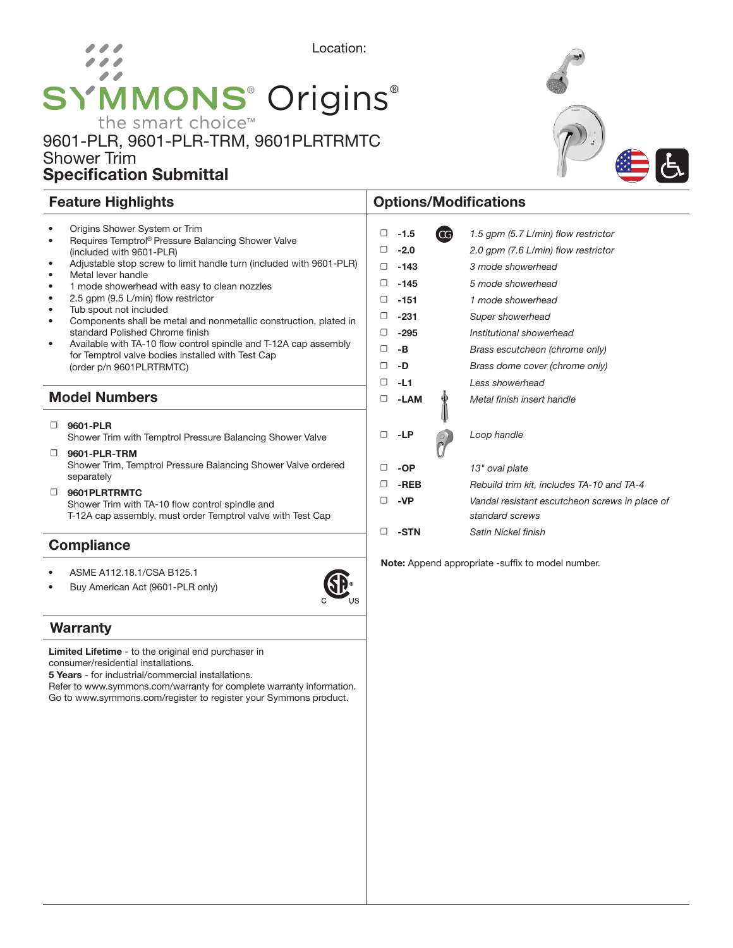# Location:  $\overline{\phantom{a}}$ SYMMONS<sup>®</sup> Origins<sup>®</sup>

## 9601-PLR, 9601-PLR-TRM, 9601PLRTRMTC Shower Trim Specification Submittal

|           | <b>Model Numbers</b>                                                                                                  | П |
|-----------|-----------------------------------------------------------------------------------------------------------------------|---|
|           |                                                                                                                       | □ |
|           | (order p/n 9601PLRTRMTC)                                                                                              | □ |
|           | Available with TA-10 flow control spindle and T-12A cap assembly<br>for Temptrol valve bodies installed with Test Cap | □ |
| ٠         | standard Polished Chrome finish                                                                                       | □ |
| $\bullet$ | Components shall be metal and nonmetallic construction, plated in                                                     | п |
| $\bullet$ | Tub spout not included                                                                                                |   |
| ٠         | 2.5 gpm (9.5 L/min) flow restrictor                                                                                   | □ |
| $\bullet$ | 1 mode showerhead with easy to clean nozzles                                                                          | □ |
| $\bullet$ | Metal lever handle                                                                                                    |   |
| $\bullet$ | (included with 9601-PLR)<br>Adjustable stop screw to limit handle turn (included with 9601-PLR)                       | □ |
| $\bullet$ | Requires Temptrol® Pressure Balancing Shower Valve                                                                    |   |
| $\bullet$ | Origins Shower System or Trim                                                                                         | □ |

#### ☐ 9601-PLR

Shower Trim with Temptrol Pressure Balancing Shower Valve

- ☐ 9601-PLR-TRM Shower Trim, Temptrol Pressure Balancing Shower Valve ordered separately
- ☐ 9601PLRTRMTC Shower Trim with TA-10 flow control spindle and T-12A cap assembly, must order Temptrol valve with Test Cap

### **Compliance**

- ASME A112.18.1/CSA B125.1
- Buy American Act (9601-PLR only)



### **Warranty**

Limited Lifetime - to the original end purchaser in consumer/residential installations.

5 Years - for industrial/commercial installations.

Refer to www.symmons.com/warranty for complete warranty information. Go to www.symmons.com/register to register your Symmons product.

## Feature Highlights **Contract Contract Contract Contract Contract Contract Contract Contract Contract Contract Contract Contract Contract Contract Contract Contract Contract Contract Contract Contract Contract Contract Cont**

| □ | $-1.5$ | CG | 1.5 gpm (5.7 L/min) flow restrictor                               |
|---|--------|----|-------------------------------------------------------------------|
| □ | $-2.0$ |    | 2.0 gpm (7.6 L/min) flow restrictor                               |
| □ | -143   |    | 3 mode showerhead                                                 |
| □ | $-145$ |    | 5 mode showerhead                                                 |
| □ | $-151$ |    | 1 mode showerhead                                                 |
| □ | $-231$ |    | Super showerhead                                                  |
| □ | $-295$ |    | Institutional showerhead                                          |
| □ | -B     |    | Brass escutcheon (chrome only)                                    |
| □ | -D     |    | Brass dome cover (chrome only)                                    |
| □ | $-L1$  |    | Less showerhead                                                   |
| □ | -LAM   |    | Metal finish insert handle                                        |
| □ | -LP    |    | Loop handle                                                       |
| □ | -OP    |    | 13" oval plate                                                    |
| □ | -REB   |    | Rebuild trim kit, includes TA-10 and TA-4                         |
| □ | -VP    |    | Vandal resistant escutcheon screws in place of<br>standard screws |
| □ | -STN   |    | Satin Nickel finish                                               |
|   |        |    |                                                                   |

Note: Append appropriate -suffix to model number.